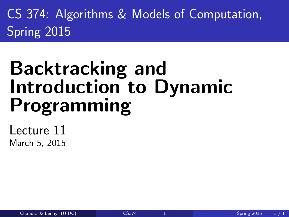CS 374: Algorithms & Models of Computation, Spring 2015

# Backtracking and Introduction to Dynamic Programming

<span id="page-0-0"></span>Lecture 11 March 5, 2015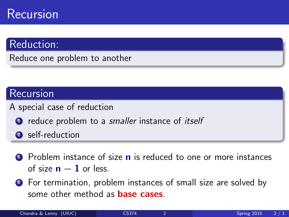### Recursion

#### Reduction:

Reduce one problem to another

#### Recursion

- A special case of reduction
	- **1** reduce problem to a *smaller* instance of *itself*
	- 2 self-reduction
	- **1** Problem instance of size **n** is reduced to one or more instances of size  $n - 1$  or less.
	- <sup>2</sup> For termination, problem instances of small size are solved by some other method as **base cases**.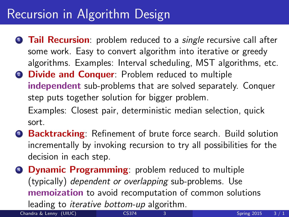### Recursion in Algorithm Design

- **1 Tail Recursion**: problem reduced to a *single* recursive call after some work. Easy to convert algorithm into iterative or greedy algorithms. Examples: Interval scheduling, MST algorithms, etc.
- **2 Divide and Conquer:** Problem reduced to multiple independent sub-problems that are solved separately. Conquer step puts together solution for bigger problem. Examples: Closest pair, deterministic median selection, quick sort.
- <sup>3</sup> Backtracking: Refinement of brute force search. Build solution incrementally by invoking recursion to try all possibilities for the decision in each step.
- **4 Dynamic Programming:** problem reduced to multiple (typically) dependent or overlapping sub-problems. Use memoization to avoid recomputation of common solutions leading to iterative bottom-up algorithm.

Chandra & Lenny (UIUC) [CS374](#page-0-0) 3 Spring 2015 3 / 1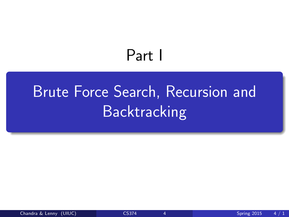## <span id="page-3-0"></span>Part I

# [Brute Force Search, Recursion and](#page-3-0) **[Backtracking](#page-3-0)**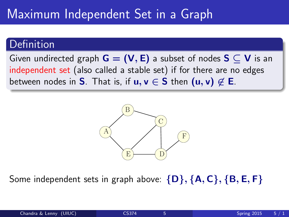### Maximum Independent Set in a Graph

#### Definition

Given undirected graph  $G = (V, E)$  a subset of nodes  $S \subset V$  is an independent set (also called a stable set) if for there are no edges between nodes in S. That is, if  $u, v \in S$  then  $(u, v) \notin E$ .



Some independent sets in graph above:  $\{D\}, \{A, C\}, \{B, E, F\}$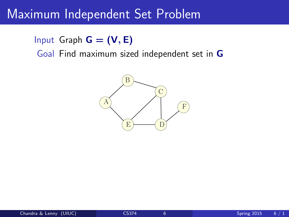### Maximum Independent Set Problem

#### Input Graph  $G = (V, E)$

Goal Find maximum sized independent set in G

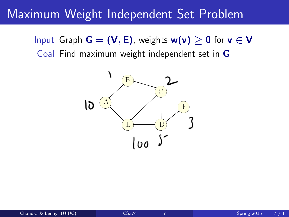### Maximum Weight Independent Set Problem

Input Graph  $G = (V, E)$ , weights  $w(v) \geq 0$  for  $v \in V$ Goal Find maximum weight independent set in G

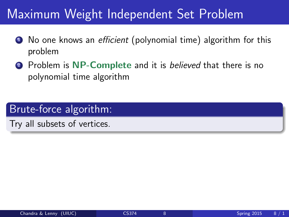### Maximum Weight Independent Set Problem

- **1** No one knows an *efficient* (polynomial time) algorithm for this problem
- **2** Problem is NP-Complete and it is believed that there is no polynomial time algorithm

#### Brute-force algorithm:

Try all subsets of vertices.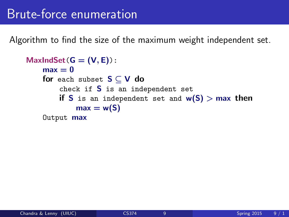### Brute-force enumeration

Algorithm to find the size of the maximum weight independent set.

```
MaxIndSet(G = (V, E)):
    max = 0for each subset S \subset V do
        check if S is an independent set
        if S is an independent set and w(S) > max then
            max = w(S)Output max
```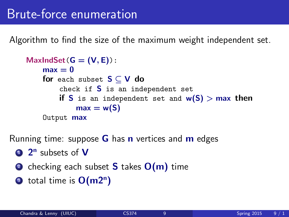Algorithm to find the size of the maximum weight independent set.

```
MaxIndSet(G = (V, E)):
    max = 0for each subset S \subset V do
        check if S is an independent set
        if S is an independent set and w(S) > max then
            max = w(S)Output max
```
Running time: suppose  $G$  has n vertices and  $m$  edges

- <sup>1</sup> 2<sup>n</sup> subsets of V
- **2** checking each subset **S** takes  $O(m)$  time
- **3** total time is  $O(m2^n)$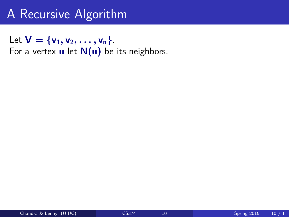### A Recursive Algorithm

Let  $V = \{v_1, v_2, \ldots, v_n\}$ . For a vertex  $\bf{u}$  let  $\bf{N}(\bf{u})$  be its neighbors.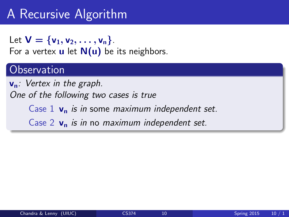### A Recursive Algorithm

Let  $V = \{v_1, v_2, \ldots, v_n\}$ . For a vertex  $\mathbf u$  let  $\mathbf N(\mathbf u)$  be its neighbors.

#### **Observation**

 $v_n$ : Vertex in the graph. One of the following two cases is true Case 1  $v_n$  is in some maximum independent set. Case 2  $v_n$  is in no maximum independent set.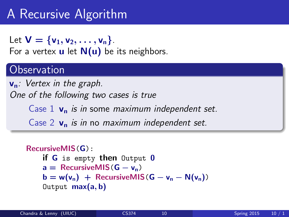### A Recursive Algorithm

Let  $V = \{v_1, v_2, \ldots, v_n\}$ . For a vertex  $\mathbf u$  let  $\mathbf N(\mathbf u)$  be its neighbors.

#### **Observation**

 $v_n$ : Vertex in the graph. One of the following two cases is true Case 1  $v_n$  is in some maximum independent set. Case 2  $v_n$  is in no maximum independent set.

```
RecursiveMIS(G):
    if G is empty then Output 0
    a = RecursivelyMS(G - v_n)b = w(v_n) + RecursiveMIS(G - v_n - N(v_n))
    Output max(a, b)
```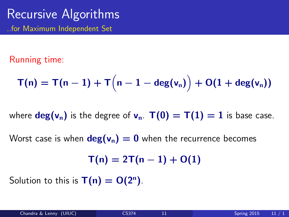### Recursive Algorithms ..for Maximum Independent Set

#### Running time:

$$
T(n) = T(n-1) + T(n-1-\deg(v_n)) + O(1+\deg(v_n))
$$

where  $deg(v_n)$  is the degree of  $v_n$ .  $T(0) = T(1) = 1$  is base case.

Worst case is when  $deg(v_n) = 0$  when the recurrence becomes

$$
\mathsf{T}(n)=2\mathsf{T}(n-1)+O(1)
$$

Solution to this is  $T(n) = O(2^n)$ .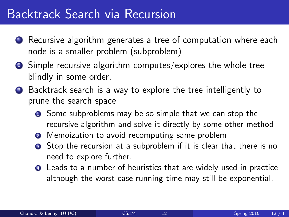### Backtrack Search via Recursion

- **1** Recursive algorithm generates a tree of computation where each node is a smaller problem (subproblem)
- <sup>2</sup> Simple recursive algorithm computes/explores the whole tree blindly in some order.
- **3** Backtrack search is a way to explore the tree intelligently to prune the search space
	- **1** Some subproblems may be so simple that we can stop the recursive algorithm and solve it directly by some other method
	- **2** Memoization to avoid recomputing same problem
	- **3** Stop the recursion at a subproblem if it is clear that there is no need to explore further.
	- **4** Leads to a number of heuristics that are widely used in practice although the worst case running time may still be exponential.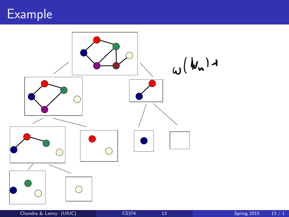

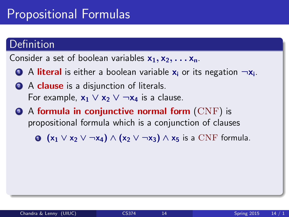### Propositional Formulas

#### **Definition**

Consider a set of boolean variables  $x_1, x_2, \ldots x_n$ .

- **D** A literal is either a boolean variable  $x_i$  or its negation  $\neg x_i$ .
- 2 A clause is a disjunction of literals. For example,  $x_1 \vee x_2 \vee \neg x_4$  is a clause.
- $\bullet$  A formula in conjunctive normal form  $(CNF)$  is propositional formula which is a conjunction of clauses

 $\bullet$   $(x_1 \vee x_2 \vee \neg x_4) \wedge (x_2 \vee \neg x_3) \wedge x_5$  is a CNF formula.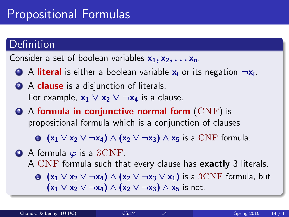### Propositional Formulas

#### Definition

Consider a set of boolean variables  $x_1, x_2, \ldots x_n$ .

- **D** A literal is either a boolean variable  $x_i$  or its negation  $\neg x_i$ .
- 2 A clause is a disjunction of literals. For example,  $x_1 \vee x_2 \vee \neg x_4$  is a clause.
- $\bullet$  A formula in conjunctive normal form  $(CNF)$  is propositional formula which is a conjunction of clauses

 $\bullet$   $(x_1 \vee x_2 \vee \neg x_4) \wedge (x_2 \vee \neg x_3) \wedge x_5$  is a CNF formula.

 $\bullet$  A formula  $\varphi$  is a 3CNF: A CNF formula such that every clause has **exactly** 3 literals.  $\bullet$  (x<sub>1</sub> ∨ x<sub>2</sub> ∨ ¬x<sub>4</sub>) ∧ (x<sub>2</sub> ∨ ¬x<sub>3</sub> ∨ x<sub>1</sub>) is a 3CNF formula, but  $(x_1 \vee x_2 \vee \neg x_4) \wedge (x_2 \vee \neg x_3) \wedge x_5$  is not.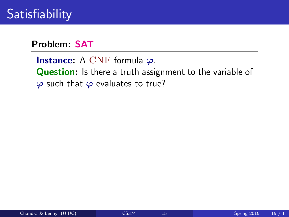#### Problem: SAT

**Instance:** A CNF formula  $\varphi$ . Question: Is there a truth assignment to the variable of  $\varphi$  such that  $\varphi$  evaluates to true?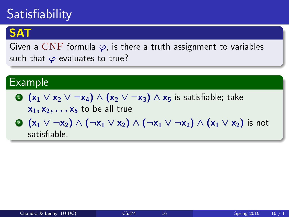### **Satisfiability**

### **SAT**

Given a CNF formula  $\varphi$ , is there a truth assignment to variables such that  $\varphi$  evaluates to true?

#### Example

 $\bigcirc$  (x<sub>1</sub> ∨ x<sub>2</sub> ∨ ¬x<sub>4</sub>) ∧ (x<sub>2</sub> ∨ ¬x<sub>3</sub>) ∧ x<sub>5</sub> is satisfiable; take

 $x_1, x_2, \ldots x_5$  to be all true

**2**  $(x_1 \vee \neg x_2) \wedge (\neg x_1 \vee x_2) \wedge (\neg x_1 \vee \neg x_2) \wedge (x_1 \vee x_2)$  is not satisfiable.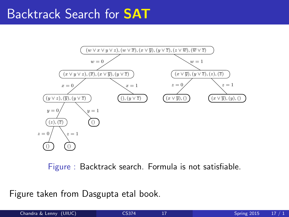#### Backtrack Search for SAT 286 Algorithms



Figure : Backtrack search. Formula is not satisfiable.

otakon from l Figure taken from Dasgupta etal book.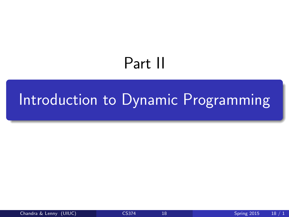# <span id="page-21-0"></span>Part II

## [Introduction to Dynamic Programming](#page-21-0)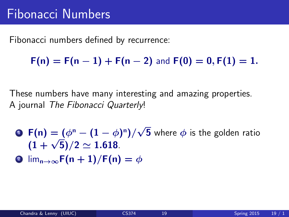Fibonacci numbers defined by recurrence:

 $F(n) = F(n-1) + F(n-2)$  and  $F(0) = 0, F(1) = 1$ .

These numbers have many interesting and amazing properties. A journal The Fibonacci Quarterly!

- **D**  $F(n) = (\phi^n (1 \phi)^n)$ √  ${\bf 5}$  where  $\phi$  is the golden ratio  $\frac{1}{(1+\sqrt{5})/2} \simeq 1.618.$
- **2**  $\lim_{n\to\infty} F(n+1)/F(n) = \phi$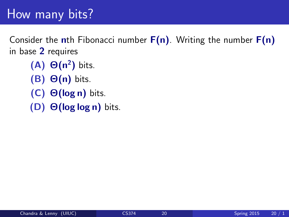### How many bits?

Consider the nth Fibonacci number  $F(n)$ . Writing the number  $F(n)$ in base 2 requires

- $(A)$   $\Theta(n^2)$  bits.
- $(B)$   $\Theta(n)$  bits.
- (C) Θ(log n) bits.
- (D) Θ(log log n) bits.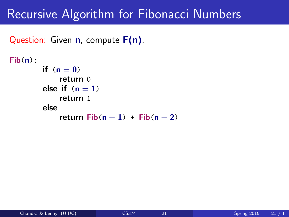```
Question: Given n, compute F(n).
```

```
Fib(n):
       if (n=0)return 0
       else if (n = 1)return 1
       else
            return Fib(n-1) + Fib(n-2)
```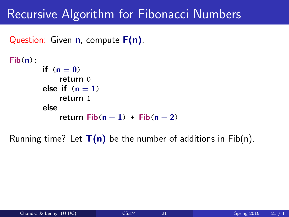```
Question: Given n, compute F(n).
```

```
Fib(n):
       if (n=0)return 0
        else if (n = 1)return 1
       else
            return Fib(n-1) + Fib(n-2)
```
Running time? Let  $T(n)$  be the number of additions in Fib(n).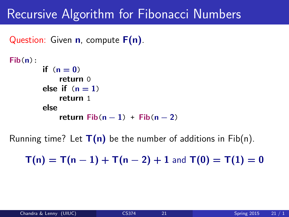Question: Given  $n$ , compute  $F(n)$ .

```
Fib(n):
        if (n=0)return 0
        else if (n = 1)return 1
        else
            return Fib(n-1) + Fib(n-2)
```
Running time? Let  $T(n)$  be the number of additions in Fib(n).

 $T(n) = T(n-1) + T(n-2) + 1$  and  $T(0) = T(1) = 0$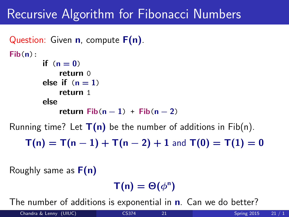```
Question: Given n, compute F(n).
Fib(n):
        if (n=0)return 0
        else if (n = 1)return 1
        else
            return Fib(n-1) + Fib(n-2)Running time? Let T(n) be the number of additions in Fib(n).
```
 $T(n) = T(n-1) + T(n-2) + 1$  and  $T(0) = T(1) = 0$ 

Roughly same as  $F(n)$ 

 $\mathsf{T}(\mathsf{n}) = \Theta(\phi^{\mathsf{n}})$ 

The number of additions is exponential in **n**. Can we do better?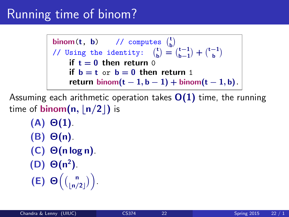### Running time of binom?

binom(t, b) // computes  $\begin{pmatrix} t \\ b \end{pmatrix}$ // Using the identity:  $\begin{pmatrix} t \\ b \end{pmatrix} = \begin{pmatrix} t-1 \\ b-1 \end{pmatrix} + \begin{pmatrix} t-1 \\ b \end{pmatrix}$ if  $t = 0$  then return 0 if  $b = t$  or  $b = 0$  then return 1 return binom $(t - 1, b - 1)$  + binom $(t - 1, b)$ .

Assuming each arithmetic operation takes  $O(1)$  time, the running time of **binom**( $n$ ,  $\lfloor n/2 \rfloor$ ) is

 $(A)$   $\Theta(1)$ . (B) Θ(n).  $(C)$   $\Theta(n \log n)$ .  $(D)$   $\Theta(n^2)$ . (E)  $\Theta\left(\binom{n}{\lfloor n/2 \rfloor}\right)$ .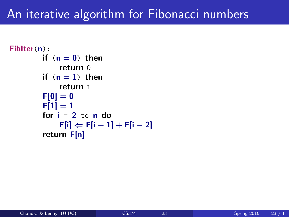### An iterative algorithm for Fibonacci numbers

```
FibIter(n):
         if (n = 0) then
             return 0
         if (n = 1) then
             return 1
         F[0] = 0F[1] = 1for i = 2 to n do
             F[i] \Leftarrow F[i-1] + F[i-2]return F[n]
```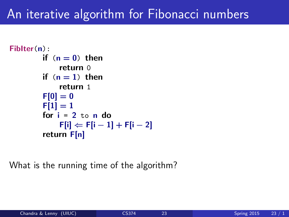### An iterative algorithm for Fibonacci numbers

```
FibIter(n):
         if (n = 0) then
             return 0
         if (n = 1) then
             return 1
         F[0] = 0F[1] = 1for i = 2 to n do
             F[i] \Leftarrow F[i-1] + F[i-2]return F[n]
```
What is the running time of the algorithm?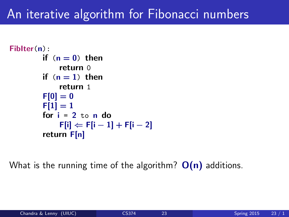### An iterative algorithm for Fibonacci numbers

```
FibIter(n):
         if (n = 0) then
             return 0
         if (n = 1) then
             return 1
         F[0] = 0F[1] = 1for i = 2 to n do
             F[i] \Leftarrow F[i-1] + F[i-2]return F[n]
```
What is the running time of the algorithm?  $O(n)$  additions.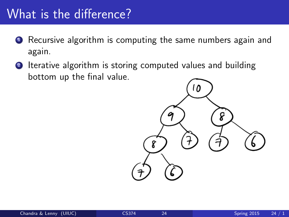### What is the difference?

- **1** Recursive algorithm is computing the same numbers again and again.
- 2 Iterative algorithm is storing computed values and building bottom up the final value.

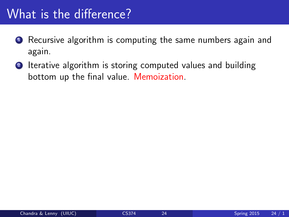### What is the difference?

- **1** Recursive algorithm is computing the same numbers again and again.
- 2 Iterative algorithm is storing computed values and building bottom up the final value. Memoization.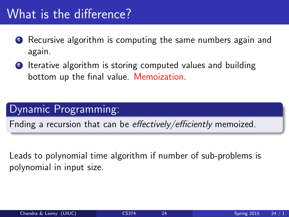### What is the difference?

- **1** Recursive algorithm is computing the same numbers again and again.
- 2 Iterative algorithm is storing computed values and building bottom up the final value. Memoization.

#### Dynamic Programming:

Fnding a recursion that can be effectively/efficiently memoized.

Leads to polynomial time algorithm if number of sub-problems is polynomial in input size.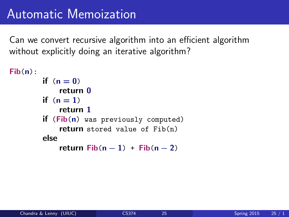```
Fib(n):
        if (n = 0)return 0
        if (n = 1)return 1
        if (Fib(n) was previously computed)
            return stored value of Fib(n)
        else
            return Fib(n-1) + Fib(n-2)
```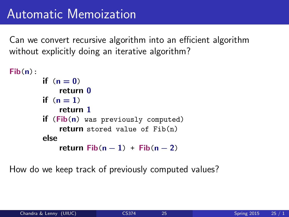```
Fib(n):
        if (n = 0)return 0
        if (n = 1)return 1
        if (Fib(n) was previously computed)
            return stored value of Fib(n)
        else
            return Fib(n-1) + Fib(n-2)
```
How do we keep track of previously computed values?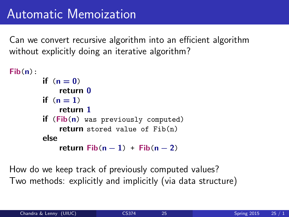```
Fib(n):
        if (n = 0)return 0
        if (n = 1)return 1
        if (Fib(n) was previously computed)
            return stored value of Fib(n)
        else
            return Fib(n-1) + Fib(n-2)
```
How do we keep track of previously computed values? Two methods: explicitly and implicitly (via data structure)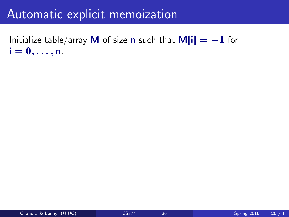### Automatic explicit memoization

Initialize table/array M of size n such that  $M[i] = -1$  for  $i = 0, \ldots, n$ .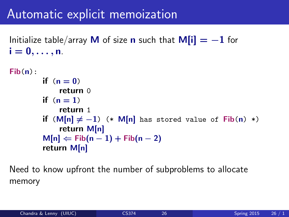### Automatic explicit memoization

Initialize table/array M of size **n** such that  $M[i] = -1$  for  $i = 0, \ldots, n$ .

```
Fib(n):
        if (n=0)return 0
        if (n = 1)return 1
        if (M[n] \neq -1) (* M[n] has stored value of Fib(n) *)
             return M[n]
        M[n] \leftarrow Fib(n-1) + Fib(n-2)return M[n]
```
Need to know upfront the number of subproblems to allocate memory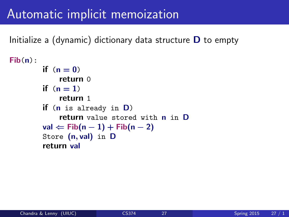### Automatic implicit memoization

Initialize a (dynamic) dictionary data structure  **to empty** 

```
Fib(n):
         if (n = 0)return 0
         if (n = 1)return 1
         if (n is already in D)
             return value stored with n in D
         val \Leftarrow Fib(n − 1) + Fib(n − 2)
         Store (n, val) in D
         return val
```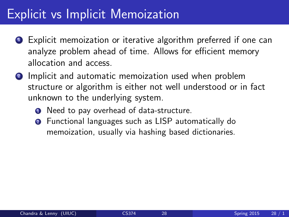### Explicit vs Implicit Memoization

- **1** Explicit memoization or iterative algorithm preferred if one can analyze problem ahead of time. Allows for efficient memory allocation and access.
- **2** Implicit and automatic memoization used when problem structure or algorithm is either not well understood or in fact unknown to the underlying system.
	- **1** Need to pay overhead of data-structure.
	- **2** Functional languages such as LISP automatically do memoization, usually via hashing based dictionaries.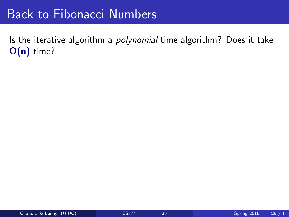### Back to Fibonacci Numbers

Is the iterative algorithm a polynomial time algorithm? Does it take O(n) time?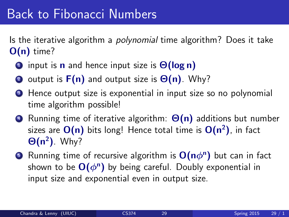### Back to Fibonacci Numbers

Is the iterative algorithm a *polynomial* time algorithm? Does it take  $O(n)$  time?

- **1** input is **n** and hence input size is  $\Theta(\log n)$
- 2 output is  $F(n)$  and output size is  $\Theta(n)$ . Why?
- **3** Hence output size is exponential in input size so no polynomial time algorithm possible!
- $\bullet$  Running time of iterative algorithm:  $\Theta(n)$  additions but number sizes are  $\mathsf{O(n)}$  bits long! Hence total time is  $\mathsf{O(n^2)}$ , in fact  $\Theta(n^2)$ . Why?
- **D** Running time of recursive algorithm is  $O(n\phi^n)$  but can in fact shown to be  $O(\phi^n)$  by being careful. Doubly exponential in input size and exponential even in output size.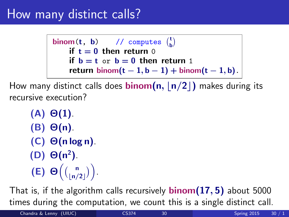### How many distinct calls?

```
binom(t, b) // computes \binom{t}{b}if t = 0 then return 0
    if b = t or b = 0 then return 1
    return binom(t - 1, b - 1) + binom(t - 1, b).
```
How many distinct calls does **binom(n, |n/2|)** makes during its recursive execution?

```
(A) \Theta(1).
(B) Θ(n).
(C) Θ(n log n).
(D) \Theta(n^2).
(E) \Theta\left(\binom{n}{\lfloor n/2 \rfloor}\right).
```
That is, if the algorithm calls recursively **binom** $(17, 5)$  about 5000 times during the computation, we count this is a single distinct call.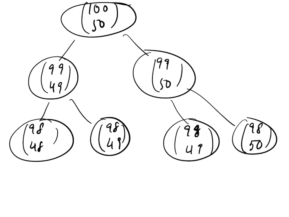